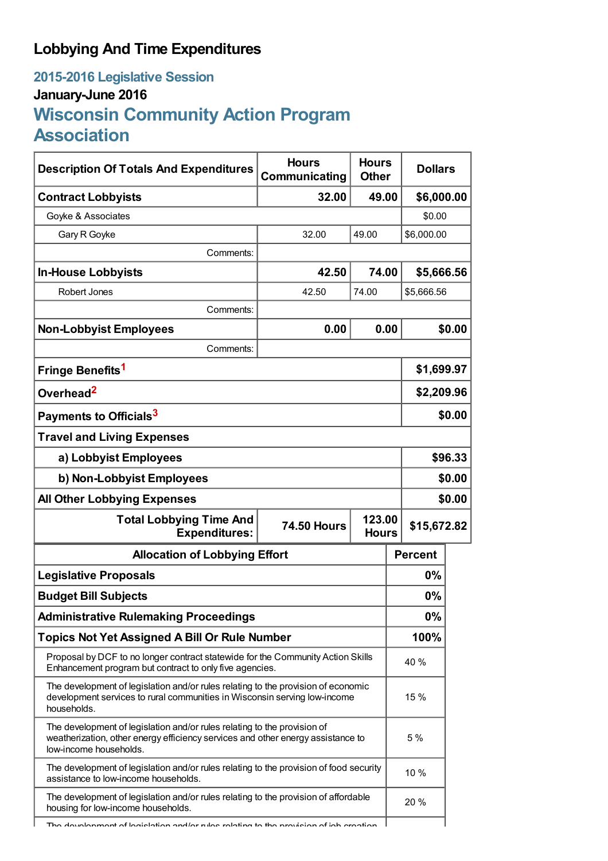## **Lobbying And Time Expenditures**

## **2015-2016 Legislative Session January-June 2016 Wisconsin Community Action Program Association**

| <b>Description Of Totals And Expenditures</b>                                                                                                                                         | <b>Hours</b><br>Communicating | <b>Hours</b><br><b>Other</b> | <b>Dollars</b> |            |  |
|---------------------------------------------------------------------------------------------------------------------------------------------------------------------------------------|-------------------------------|------------------------------|----------------|------------|--|
| <b>Contract Lobbyists</b>                                                                                                                                                             | 32.00                         | 49.00                        | \$6,000.00     |            |  |
| Goyke & Associates                                                                                                                                                                    |                               |                              | \$0.00         |            |  |
| Gary R Goyke                                                                                                                                                                          | 32.00                         | 49.00                        | \$6,000.00     |            |  |
| Comments:                                                                                                                                                                             |                               |                              |                |            |  |
| <b>In-House Lobbyists</b>                                                                                                                                                             | 42.50                         | 74.00                        | \$5,666.56     |            |  |
| Robert Jones                                                                                                                                                                          | 42.50                         | 74.00                        | \$5,666.56     |            |  |
| Comments:                                                                                                                                                                             |                               |                              |                |            |  |
| <b>Non-Lobbyist Employees</b>                                                                                                                                                         | 0.00                          | 0.00                         |                | \$0.00     |  |
| Comments:                                                                                                                                                                             |                               |                              |                |            |  |
| Fringe Benefits <sup>1</sup>                                                                                                                                                          |                               |                              | \$1,699.97     |            |  |
| Overhead <sup>2</sup>                                                                                                                                                                 |                               |                              |                | \$2,209.96 |  |
| Payments to Officials <sup>3</sup>                                                                                                                                                    |                               |                              | \$0.00         |            |  |
| <b>Travel and Living Expenses</b>                                                                                                                                                     |                               |                              |                |            |  |
| a) Lobbyist Employees                                                                                                                                                                 |                               |                              |                | \$96.33    |  |
| b) Non-Lobbyist Employees                                                                                                                                                             |                               |                              |                | \$0.00     |  |
| <b>All Other Lobbying Expenses</b>                                                                                                                                                    |                               |                              |                | \$0.00     |  |
| <b>Total Lobbying Time And</b><br>123.00<br><b>74.50 Hours</b><br><b>Expenditures:</b><br><b>Hours</b>                                                                                |                               |                              | \$15,672.82    |            |  |
| <b>Allocation of Lobbying Effort</b>                                                                                                                                                  |                               |                              | <b>Percent</b> |            |  |
| <b>Legislative Proposals</b>                                                                                                                                                          |                               |                              | 0%             |            |  |
| <b>Budget Bill Subjects</b>                                                                                                                                                           |                               |                              |                |            |  |
| <b>Administrative Rulemaking Proceedings</b>                                                                                                                                          |                               |                              |                |            |  |
| <b>Topics Not Yet Assigned A Bill Or Rule Number</b>                                                                                                                                  |                               |                              | 100%           |            |  |
| Proposal by DCF to no longer contract statewide for the Community Action Skills<br>Enhancement program but contract to only five agencies.                                            |                               |                              | 40 %           |            |  |
| The development of legislation and/or rules relating to the provision of economic<br>development services to rural communities in Wisconsin serving low-income<br>households.         |                               |                              | 15 %           |            |  |
| The development of legislation and/or rules relating to the provision of<br>weatherization, other energy efficiency services and other energy assistance to<br>low-income households. |                               |                              |                |            |  |
| The development of legislation and/or rules relating to the provision of food security<br>assistance to low-income households.                                                        |                               |                              |                |            |  |
| The development of legislation and/or rules relating to the provision of affordable<br>housing for low-income households.                                                             |                               |                              | 20 %           |            |  |
| The development of legislation and/or rules relating to the provision of ich                                                                                                          |                               |                              |                |            |  |